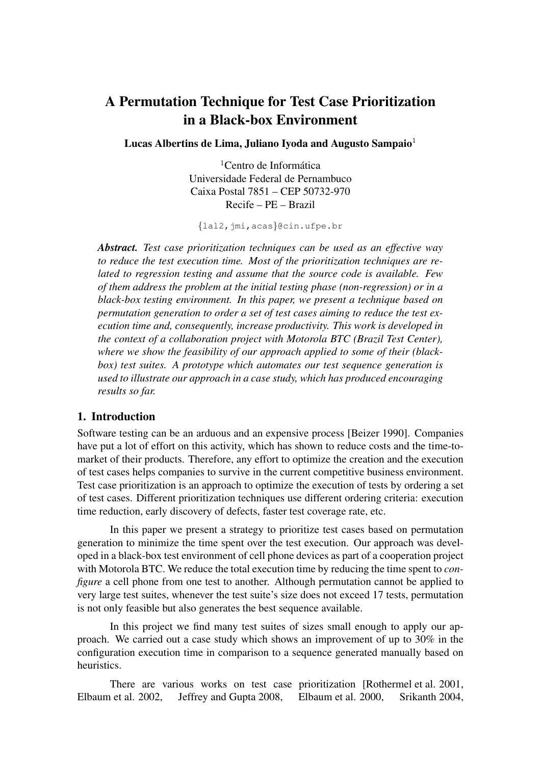# A Permutation Technique for Test Case Prioritization in a Black-box Environment

Lucas Albertins de Lima, Juliano Iyoda and Augusto Sampaio $1$ 

 ${}^{1}$ Centro de Informática Universidade Federal de Pernambuco Caixa Postal 7851 – CEP 50732-970 Recife – PE – Brazil

{lal2,jmi,acas}@cin.ufpe.br

*Abstract. Test case prioritization techniques can be used as an effective way to reduce the test execution time. Most of the prioritization techniques are related to regression testing and assume that the source code is available. Few of them address the problem at the initial testing phase (non-regression) or in a black-box testing environment. In this paper, we present a technique based on permutation generation to order a set of test cases aiming to reduce the test execution time and, consequently, increase productivity. This work is developed in the context of a collaboration project with Motorola BTC (Brazil Test Center), where we show the feasibility of our approach applied to some of their (blackbox) test suites. A prototype which automates our test sequence generation is used to illustrate our approach in a case study, which has produced encouraging results so far.*

## 1. Introduction

Software testing can be an arduous and an expensive process [Beizer 1990]. Companies have put a lot of effort on this activity, which has shown to reduce costs and the time-tomarket of their products. Therefore, any effort to optimize the creation and the execution of test cases helps companies to survive in the current competitive business environment. Test case prioritization is an approach to optimize the execution of tests by ordering a set of test cases. Different prioritization techniques use different ordering criteria: execution time reduction, early discovery of defects, faster test coverage rate, etc.

In this paper we present a strategy to prioritize test cases based on permutation generation to minimize the time spent over the test execution. Our approach was developed in a black-box test environment of cell phone devices as part of a cooperation project with Motorola BTC. We reduce the total execution time by reducing the time spent to *configure* a cell phone from one test to another. Although permutation cannot be applied to very large test suites, whenever the test suite's size does not exceed 17 tests, permutation is not only feasible but also generates the best sequence available.

In this project we find many test suites of sizes small enough to apply our approach. We carried out a case study which shows an improvement of up to 30% in the configuration execution time in comparison to a sequence generated manually based on heuristics.

There are various works on test case prioritization [Rothermel et al. 2001, Elbaum et al. 2002, Jeffrey and Gupta 2008, Elbaum et al. 2000, Srikanth 2004,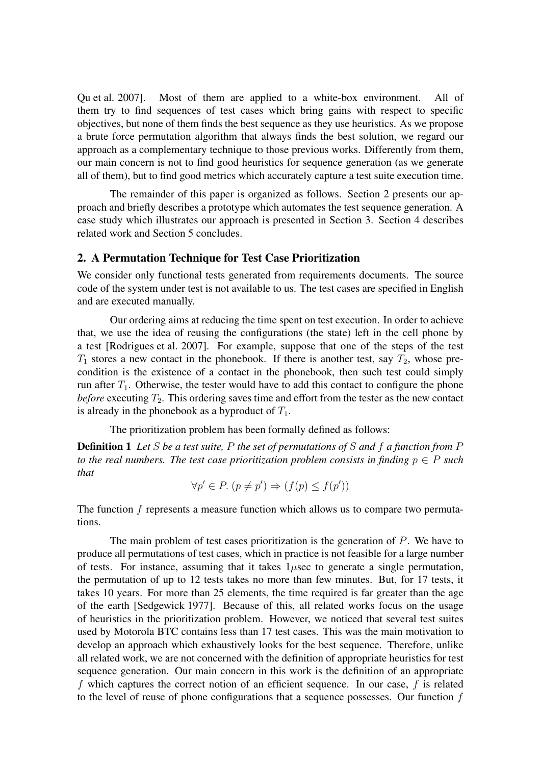Qu et al. 2007]. Most of them are applied to a white-box environment. All of them try to find sequences of test cases which bring gains with respect to specific objectives, but none of them finds the best sequence as they use heuristics. As we propose a brute force permutation algorithm that always finds the best solution, we regard our approach as a complementary technique to those previous works. Differently from them, our main concern is not to find good heuristics for sequence generation (as we generate all of them), but to find good metrics which accurately capture a test suite execution time.

The remainder of this paper is organized as follows. Section 2 presents our approach and briefly describes a prototype which automates the test sequence generation. A case study which illustrates our approach is presented in Section 3. Section 4 describes related work and Section 5 concludes.

#### 2. A Permutation Technique for Test Case Prioritization

We consider only functional tests generated from requirements documents. The source code of the system under test is not available to us. The test cases are specified in English and are executed manually.

Our ordering aims at reducing the time spent on test execution. In order to achieve that, we use the idea of reusing the configurations (the state) left in the cell phone by a test [Rodrigues et al. 2007]. For example, suppose that one of the steps of the test  $T_1$  stores a new contact in the phonebook. If there is another test, say  $T_2$ , whose precondition is the existence of a contact in the phonebook, then such test could simply run after  $T_1$ . Otherwise, the tester would have to add this contact to configure the phone *before* executing  $T_2$ . This ordering saves time and effort from the tester as the new contact is already in the phonebook as a byproduct of  $T_1$ .

The prioritization problem has been formally defined as follows:

Definition 1 *Let* S *be a test suite,* P *the set of permutations of* S *and* f *a function from* P *to the real numbers. The test case prioritization problem consists in finding*  $p \in P$  *such that*

$$
\forall p' \in P. \ (p \neq p') \Rightarrow (f(p) \leq f(p'))
$$

The function  $f$  represents a measure function which allows us to compare two permutations.

The main problem of test cases prioritization is the generation of  $P$ . We have to produce all permutations of test cases, which in practice is not feasible for a large number of tests. For instance, assuming that it takes  $1\mu$ sec to generate a single permutation, the permutation of up to 12 tests takes no more than few minutes. But, for 17 tests, it takes 10 years. For more than 25 elements, the time required is far greater than the age of the earth [Sedgewick 1977]. Because of this, all related works focus on the usage of heuristics in the prioritization problem. However, we noticed that several test suites used by Motorola BTC contains less than 17 test cases. This was the main motivation to develop an approach which exhaustively looks for the best sequence. Therefore, unlike all related work, we are not concerned with the definition of appropriate heuristics for test sequence generation. Our main concern in this work is the definition of an appropriate f which captures the correct notion of an efficient sequence. In our case, f is related to the level of reuse of phone configurations that a sequence possesses. Our function f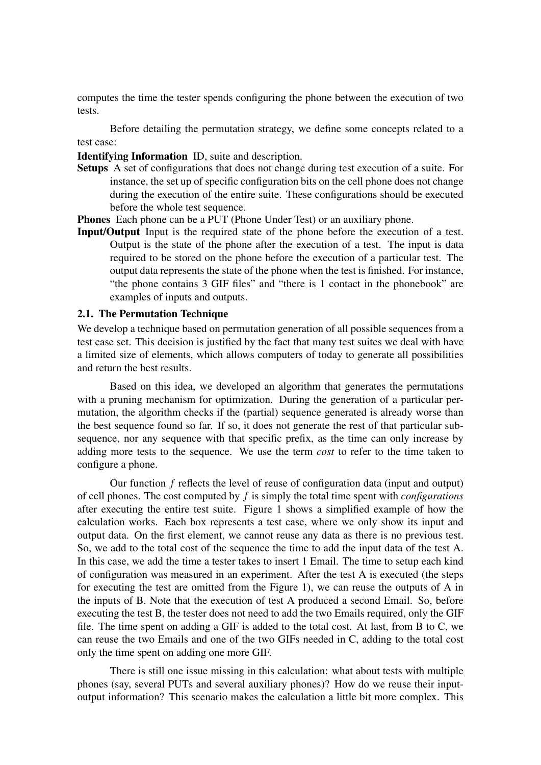computes the time the tester spends configuring the phone between the execution of two tests.

Before detailing the permutation strategy, we define some concepts related to a test case:

Identifying Information ID, suite and description.

Setups A set of configurations that does not change during test execution of a suite. For instance, the set up of specific configuration bits on the cell phone does not change during the execution of the entire suite. These configurations should be executed before the whole test sequence.

Phones Each phone can be a PUT (Phone Under Test) or an auxiliary phone.

Input/Output Input is the required state of the phone before the execution of a test. Output is the state of the phone after the execution of a test. The input is data required to be stored on the phone before the execution of a particular test. The output data represents the state of the phone when the test is finished. For instance, "the phone contains 3 GIF files" and "there is 1 contact in the phonebook" are examples of inputs and outputs.

#### 2.1. The Permutation Technique

We develop a technique based on permutation generation of all possible sequences from a test case set. This decision is justified by the fact that many test suites we deal with have a limited size of elements, which allows computers of today to generate all possibilities and return the best results.

Based on this idea, we developed an algorithm that generates the permutations with a pruning mechanism for optimization. During the generation of a particular permutation, the algorithm checks if the (partial) sequence generated is already worse than the best sequence found so far. If so, it does not generate the rest of that particular subsequence, nor any sequence with that specific prefix, as the time can only increase by adding more tests to the sequence. We use the term *cost* to refer to the time taken to configure a phone.

Our function f reflects the level of reuse of configuration data (input and output) of cell phones. The cost computed by f is simply the total time spent with *configurations* after executing the entire test suite. Figure 1 shows a simplified example of how the calculation works. Each box represents a test case, where we only show its input and output data. On the first element, we cannot reuse any data as there is no previous test. So, we add to the total cost of the sequence the time to add the input data of the test A. In this case, we add the time a tester takes to insert 1 Email. The time to setup each kind of configuration was measured in an experiment. After the test A is executed (the steps for executing the test are omitted from the Figure 1), we can reuse the outputs of A in the inputs of B. Note that the execution of test A produced a second Email. So, before executing the test B, the tester does not need to add the two Emails required, only the GIF file. The time spent on adding a GIF is added to the total cost. At last, from B to C, we can reuse the two Emails and one of the two GIFs needed in C, adding to the total cost only the time spent on adding one more GIF.

There is still one issue missing in this calculation: what about tests with multiple phones (say, several PUTs and several auxiliary phones)? How do we reuse their inputoutput information? This scenario makes the calculation a little bit more complex. This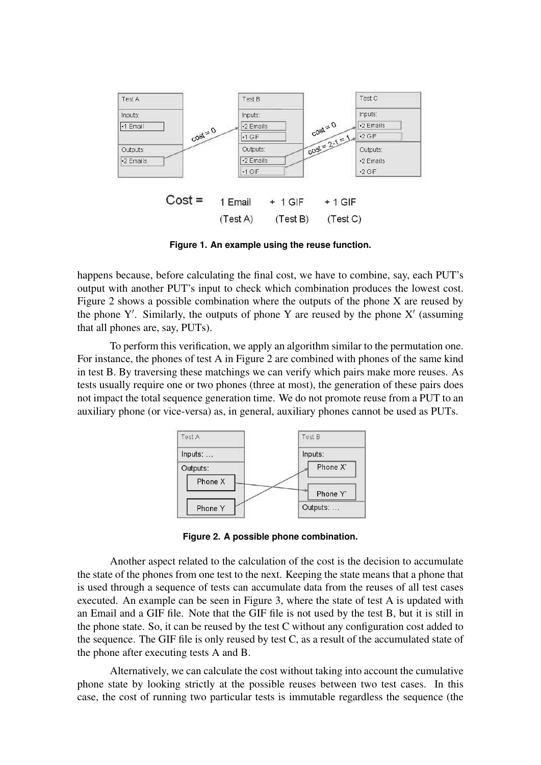

**Figure 1. An example using the reuse function.**

happens because, before calculating the final cost, we have to combine, say, each PUT's output with another PUT's input to check which combination produces the lowest cost. Figure 2 shows a possible combination where the outputs of the phone X are reused by the phone Y'. Similarly, the outputs of phone Y are reused by the phone  $X'$  (assuming that all phones are, say, PUTs).

To perform this verification, we apply an algorithm similar to the permutation one. For instance, the phones of test A in Figure 2 are combined with phones of the same kind in test B. By traversing these matchings we can verify which pairs make more reuses. As tests usually require one or two phones (three at most), the generation of these pairs does not impact the total sequence generation time. We do not promote reuse from a PUT to an auxiliary phone (or vice-versa) as, in general, auxiliary phones cannot be used as PUTs.



**Figure 2. A possible phone combination.**

Another aspect related to the calculation of the cost is the decision to accumulate the state of the phones from one test to the next. Keeping the state means that a phone that is used through a sequence of tests can accumulate data from the reuses of all test cases executed. An example can be seen in Figure 3, where the state of test A is updated with an Email and a GIF file. Note that the GIF file is not used by the test B, but it is still in the phone state. So, it can be reused by the test C without any configuration cost added to the sequence. The GIF file is only reused by test C, as a result of the accumulated state of the phone after executing tests A and B.

Alternatively, we can calculate the cost without taking into account the cumulative phone state by looking strictly at the possible reuses between two test cases. In this case, the cost of running two particular tests is immutable regardless the sequence (the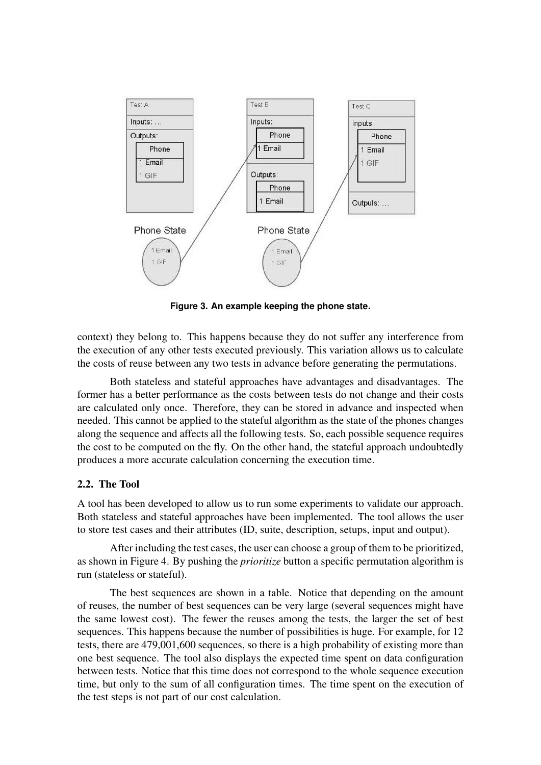

**Figure 3. An example keeping the phone state.**

context) they belong to. This happens because they do not suffer any interference from the execution of any other tests executed previously. This variation allows us to calculate the costs of reuse between any two tests in advance before generating the permutations.

Both stateless and stateful approaches have advantages and disadvantages. The former has a better performance as the costs between tests do not change and their costs are calculated only once. Therefore, they can be stored in advance and inspected when needed. This cannot be applied to the stateful algorithm as the state of the phones changes along the sequence and affects all the following tests. So, each possible sequence requires the cost to be computed on the fly. On the other hand, the stateful approach undoubtedly produces a more accurate calculation concerning the execution time.

### 2.2. The Tool

A tool has been developed to allow us to run some experiments to validate our approach. Both stateless and stateful approaches have been implemented. The tool allows the user to store test cases and their attributes (ID, suite, description, setups, input and output).

After including the test cases, the user can choose a group of them to be prioritized, as shown in Figure 4. By pushing the *prioritize* button a specific permutation algorithm is run (stateless or stateful).

The best sequences are shown in a table. Notice that depending on the amount of reuses, the number of best sequences can be very large (several sequences might have the same lowest cost). The fewer the reuses among the tests, the larger the set of best sequences. This happens because the number of possibilities is huge. For example, for 12 tests, there are 479,001,600 sequences, so there is a high probability of existing more than one best sequence. The tool also displays the expected time spent on data configuration between tests. Notice that this time does not correspond to the whole sequence execution time, but only to the sum of all configuration times. The time spent on the execution of the test steps is not part of our cost calculation.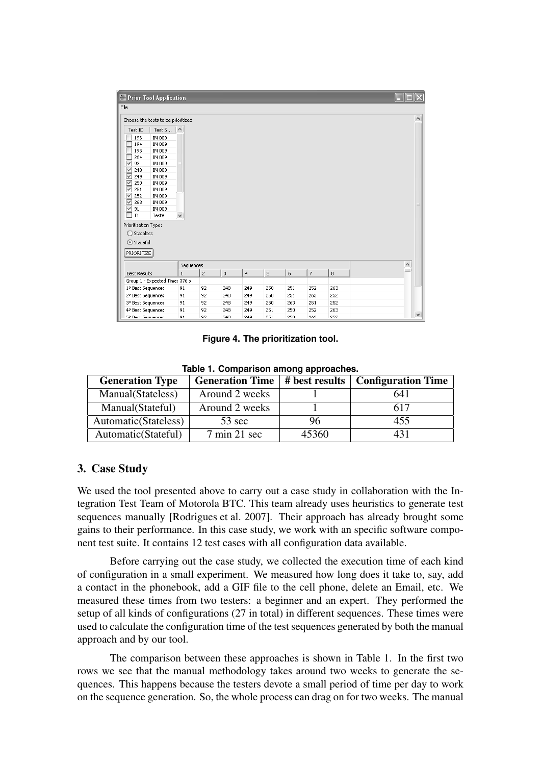|                                | Prior Tool Application              |                 |              |                |     |                |     |     |                |            |           |              |
|--------------------------------|-------------------------------------|-----------------|--------------|----------------|-----|----------------|-----|-----|----------------|------------|-----------|--------------|
| File                           |                                     |                 |              |                |     |                |     |     |                |            |           |              |
|                                | Choose the tests to be prioritized: |                 |              |                |     |                |     |     |                |            |           | $\land$      |
|                                | Test ID                             | Test S $\wedge$ |              |                |     |                |     |     |                |            |           |              |
|                                | IM 009<br>193                       |                 |              |                |     |                |     |     |                |            |           |              |
|                                | 194<br>IM 009                       |                 |              |                |     |                |     |     |                |            |           |              |
|                                | IM 009<br>195                       |                 |              |                |     |                |     |     |                |            |           |              |
|                                | IM 009<br>264                       |                 |              |                |     |                |     |     |                |            |           |              |
| ▽                              | IM 009<br>92                        |                 |              |                |     |                |     |     |                |            |           |              |
| ▽                              | IM 009<br>248                       |                 |              |                |     |                |     |     |                |            |           |              |
| $\overline{\mathsf{v}}$        | 249<br>IM 009                       |                 |              |                |     |                |     |     |                |            |           |              |
| $\blacktriangledown$           | 250<br>IM 009                       |                 |              |                |     |                |     |     |                |            |           |              |
| $\leq$                         | 251<br>IM 009                       |                 |              |                |     |                |     |     |                |            |           |              |
|                                | 252<br>IM 009                       |                 |              |                |     |                |     |     |                |            |           |              |
| $\leq$                         | IM 009<br>263                       |                 |              |                |     |                |     |     |                |            |           |              |
|                                | 91<br>IM 009                        |                 |              |                |     |                |     |     |                |            |           |              |
|                                | T1<br>Teste                         |                 | $\checkmark$ |                |     |                |     |     |                |            |           |              |
|                                | Prioritization Type:                |                 |              |                |     |                |     |     |                |            |           |              |
|                                | $\bigcirc$ Stateless                |                 |              |                |     |                |     |     |                |            |           |              |
|                                | Stateful                            |                 |              |                |     |                |     |     |                |            |           |              |
|                                |                                     |                 |              |                |     |                |     |     |                |            |           |              |
|                                | PRIORITIZE                          |                 |              |                |     |                |     |     |                |            |           |              |
|                                | Sequences                           |                 |              |                |     |                |     |     |                |            | $\hat{ }$ |              |
|                                | <b>Best Results</b>                 |                 | $\mathbf{1}$ | $\overline{c}$ | 3   | $\overline{4}$ | 5   | 6   | $\overline{7}$ | $^{\rm 8}$ |           |              |
| Group 1 - Expected Time: 376 s |                                     |                 |              |                |     |                |     |     |                |            |           |              |
| 1º Best Sequence:              |                                     | 91              | 92           | 248            | 249 | 250            | 251 | 252 | 263            |            |           |              |
| 2º Best Sequence:              |                                     |                 | 91           | 92             | 248 | 249            | 250 | 251 | 263            | 252        |           |              |
|                                | 3º Best Sequence:                   |                 | 91           | 92             | 248 | 249            | 250 | 263 | 251            | 252        |           |              |
|                                | 4º Best Sequence:                   |                 | 91           | 92             | 248 | 249            | 251 | 250 | 252            | 263        |           |              |
| 59 Best Sequence:              |                                     |                 | Q1           | 92             | 248 | 249            | 251 | 250 | 263            | 252        |           | $\checkmark$ |

**Figure 4. The prioritization tool.**

**Table 1. Comparison among approaches.**

| <b>Generation Type</b> | <b>Generation Time</b>          | # best results | <b>Configuration Time</b> |
|------------------------|---------------------------------|----------------|---------------------------|
| Manual (Stateless)     | Around 2 weeks                  |                | 641                       |
| Manual(Stateful)       | Around 2 weeks                  |                | 617                       |
| Automatic (Stateless)  | 53 sec                          | 96             | 455                       |
| Automatic (Stateful)   | $7 \text{ min } 21 \text{ sec}$ | 45360          | 431                       |

## 3. Case Study

We used the tool presented above to carry out a case study in collaboration with the Integration Test Team of Motorola BTC. This team already uses heuristics to generate test sequences manually [Rodrigues et al. 2007]. Their approach has already brought some gains to their performance. In this case study, we work with an specific software component test suite. It contains 12 test cases with all configuration data available.

Before carrying out the case study, we collected the execution time of each kind of configuration in a small experiment. We measured how long does it take to, say, add a contact in the phonebook, add a GIF file to the cell phone, delete an Email, etc. We measured these times from two testers: a beginner and an expert. They performed the setup of all kinds of configurations (27 in total) in different sequences. These times were used to calculate the configuration time of the test sequences generated by both the manual approach and by our tool.

The comparison between these approaches is shown in Table 1. In the first two rows we see that the manual methodology takes around two weeks to generate the sequences. This happens because the testers devote a small period of time per day to work on the sequence generation. So, the whole process can drag on for two weeks. The manual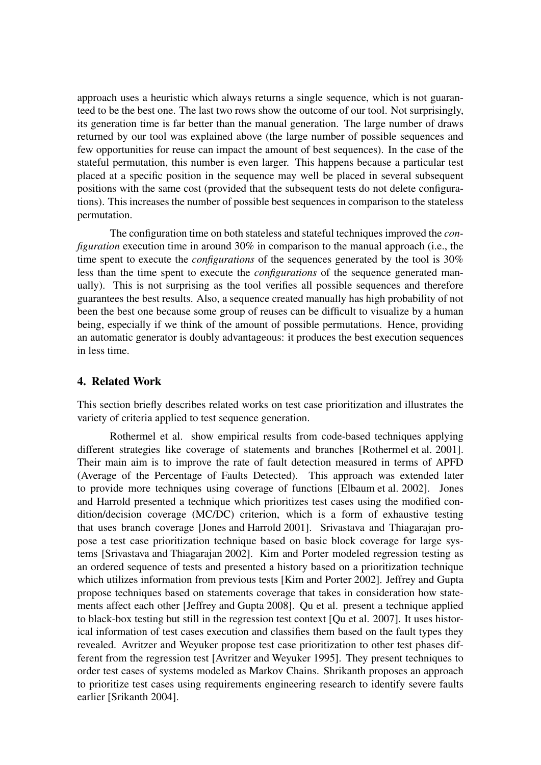approach uses a heuristic which always returns a single sequence, which is not guaranteed to be the best one. The last two rows show the outcome of our tool. Not surprisingly, its generation time is far better than the manual generation. The large number of draws returned by our tool was explained above (the large number of possible sequences and few opportunities for reuse can impact the amount of best sequences). In the case of the stateful permutation, this number is even larger. This happens because a particular test placed at a specific position in the sequence may well be placed in several subsequent positions with the same cost (provided that the subsequent tests do not delete configurations). This increases the number of possible best sequences in comparison to the stateless permutation.

The configuration time on both stateless and stateful techniques improved the *configuration* execution time in around 30% in comparison to the manual approach (i.e., the time spent to execute the *configurations* of the sequences generated by the tool is 30% less than the time spent to execute the *configurations* of the sequence generated manually). This is not surprising as the tool verifies all possible sequences and therefore guarantees the best results. Also, a sequence created manually has high probability of not been the best one because some group of reuses can be difficult to visualize by a human being, especially if we think of the amount of possible permutations. Hence, providing an automatic generator is doubly advantageous: it produces the best execution sequences in less time.

## 4. Related Work

This section briefly describes related works on test case prioritization and illustrates the variety of criteria applied to test sequence generation.

Rothermel et al. show empirical results from code-based techniques applying different strategies like coverage of statements and branches [Rothermel et al. 2001]. Their main aim is to improve the rate of fault detection measured in terms of APFD (Average of the Percentage of Faults Detected). This approach was extended later to provide more techniques using coverage of functions [Elbaum et al. 2002]. Jones and Harrold presented a technique which prioritizes test cases using the modified condition/decision coverage (MC/DC) criterion, which is a form of exhaustive testing that uses branch coverage [Jones and Harrold 2001]. Srivastava and Thiagarajan propose a test case prioritization technique based on basic block coverage for large systems [Srivastava and Thiagarajan 2002]. Kim and Porter modeled regression testing as an ordered sequence of tests and presented a history based on a prioritization technique which utilizes information from previous tests [Kim and Porter 2002]. Jeffrey and Gupta propose techniques based on statements coverage that takes in consideration how statements affect each other [Jeffrey and Gupta 2008]. Qu et al. present a technique applied to black-box testing but still in the regression test context [Qu et al. 2007]. It uses historical information of test cases execution and classifies them based on the fault types they revealed. Avritzer and Weyuker propose test case prioritization to other test phases different from the regression test [Avritzer and Weyuker 1995]. They present techniques to order test cases of systems modeled as Markov Chains. Shrikanth proposes an approach to prioritize test cases using requirements engineering research to identify severe faults earlier [Srikanth 2004].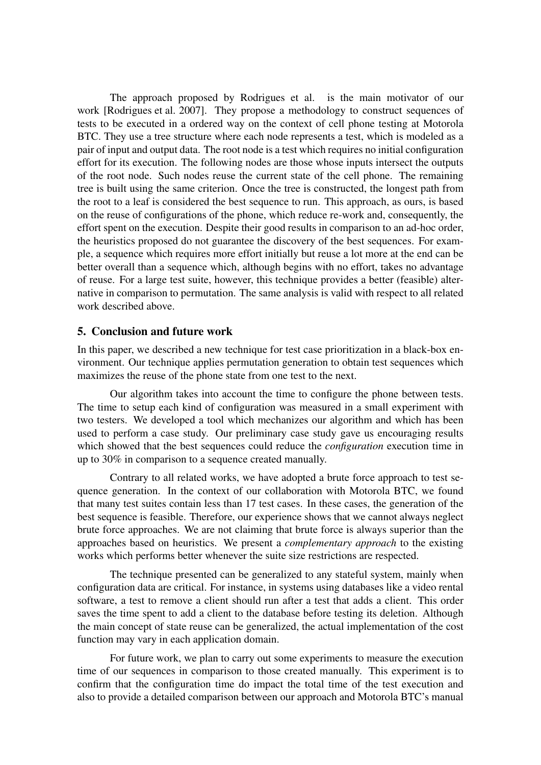The approach proposed by Rodrigues et al. is the main motivator of our work [Rodrigues et al. 2007]. They propose a methodology to construct sequences of tests to be executed in a ordered way on the context of cell phone testing at Motorola BTC. They use a tree structure where each node represents a test, which is modeled as a pair of input and output data. The root node is a test which requires no initial configuration effort for its execution. The following nodes are those whose inputs intersect the outputs of the root node. Such nodes reuse the current state of the cell phone. The remaining tree is built using the same criterion. Once the tree is constructed, the longest path from the root to a leaf is considered the best sequence to run. This approach, as ours, is based on the reuse of configurations of the phone, which reduce re-work and, consequently, the effort spent on the execution. Despite their good results in comparison to an ad-hoc order, the heuristics proposed do not guarantee the discovery of the best sequences. For example, a sequence which requires more effort initially but reuse a lot more at the end can be better overall than a sequence which, although begins with no effort, takes no advantage of reuse. For a large test suite, however, this technique provides a better (feasible) alternative in comparison to permutation. The same analysis is valid with respect to all related work described above.

## 5. Conclusion and future work

In this paper, we described a new technique for test case prioritization in a black-box environment. Our technique applies permutation generation to obtain test sequences which maximizes the reuse of the phone state from one test to the next.

Our algorithm takes into account the time to configure the phone between tests. The time to setup each kind of configuration was measured in a small experiment with two testers. We developed a tool which mechanizes our algorithm and which has been used to perform a case study. Our preliminary case study gave us encouraging results which showed that the best sequences could reduce the *configuration* execution time in up to 30% in comparison to a sequence created manually.

Contrary to all related works, we have adopted a brute force approach to test sequence generation. In the context of our collaboration with Motorola BTC, we found that many test suites contain less than 17 test cases. In these cases, the generation of the best sequence is feasible. Therefore, our experience shows that we cannot always neglect brute force approaches. We are not claiming that brute force is always superior than the approaches based on heuristics. We present a *complementary approach* to the existing works which performs better whenever the suite size restrictions are respected.

The technique presented can be generalized to any stateful system, mainly when configuration data are critical. For instance, in systems using databases like a video rental software, a test to remove a client should run after a test that adds a client. This order saves the time spent to add a client to the database before testing its deletion. Although the main concept of state reuse can be generalized, the actual implementation of the cost function may vary in each application domain.

For future work, we plan to carry out some experiments to measure the execution time of our sequences in comparison to those created manually. This experiment is to confirm that the configuration time do impact the total time of the test execution and also to provide a detailed comparison between our approach and Motorola BTC's manual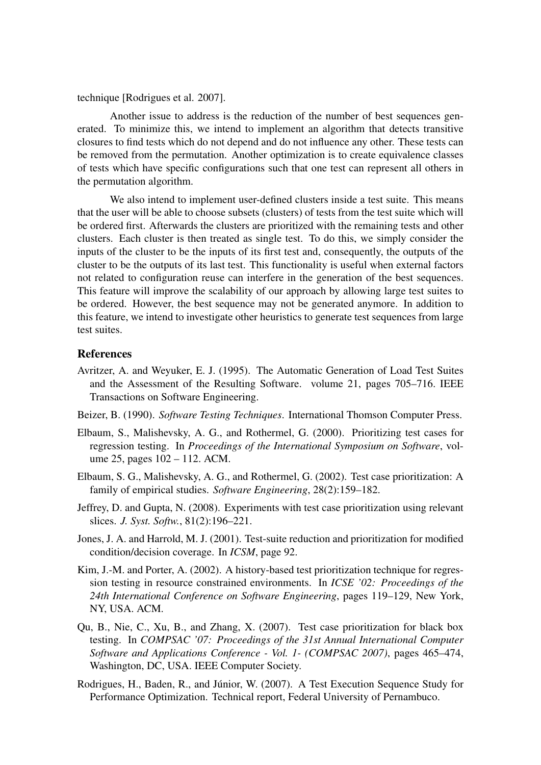technique [Rodrigues et al. 2007].

Another issue to address is the reduction of the number of best sequences generated. To minimize this, we intend to implement an algorithm that detects transitive closures to find tests which do not depend and do not influence any other. These tests can be removed from the permutation. Another optimization is to create equivalence classes of tests which have specific configurations such that one test can represent all others in the permutation algorithm.

We also intend to implement user-defined clusters inside a test suite. This means that the user will be able to choose subsets (clusters) of tests from the test suite which will be ordered first. Afterwards the clusters are prioritized with the remaining tests and other clusters. Each cluster is then treated as single test. To do this, we simply consider the inputs of the cluster to be the inputs of its first test and, consequently, the outputs of the cluster to be the outputs of its last test. This functionality is useful when external factors not related to configuration reuse can interfere in the generation of the best sequences. This feature will improve the scalability of our approach by allowing large test suites to be ordered. However, the best sequence may not be generated anymore. In addition to this feature, we intend to investigate other heuristics to generate test sequences from large test suites.

#### References

- Avritzer, A. and Weyuker, E. J. (1995). The Automatic Generation of Load Test Suites and the Assessment of the Resulting Software. volume 21, pages 705–716. IEEE Transactions on Software Engineering.
- Beizer, B. (1990). *Software Testing Techniques*. International Thomson Computer Press.
- Elbaum, S., Malishevsky, A. G., and Rothermel, G. (2000). Prioritizing test cases for regression testing. In *Proceedings of the International Symposium on Software*, volume 25, pages 102 – 112. ACM.
- Elbaum, S. G., Malishevsky, A. G., and Rothermel, G. (2002). Test case prioritization: A family of empirical studies. *Software Engineering*, 28(2):159–182.
- Jeffrey, D. and Gupta, N. (2008). Experiments with test case prioritization using relevant slices. *J. Syst. Softw.*, 81(2):196–221.
- Jones, J. A. and Harrold, M. J. (2001). Test-suite reduction and prioritization for modified condition/decision coverage. In *ICSM*, page 92.
- Kim, J.-M. and Porter, A. (2002). A history-based test prioritization technique for regression testing in resource constrained environments. In *ICSE '02: Proceedings of the 24th International Conference on Software Engineering*, pages 119–129, New York, NY, USA. ACM.
- Qu, B., Nie, C., Xu, B., and Zhang, X. (2007). Test case prioritization for black box testing. In *COMPSAC '07: Proceedings of the 31st Annual International Computer Software and Applications Conference - Vol. 1- (COMPSAC 2007)*, pages 465–474, Washington, DC, USA. IEEE Computer Society.
- Rodrigues, H., Baden, R., and Júnior, W. (2007). A Test Execution Sequence Study for Performance Optimization. Technical report, Federal University of Pernambuco.